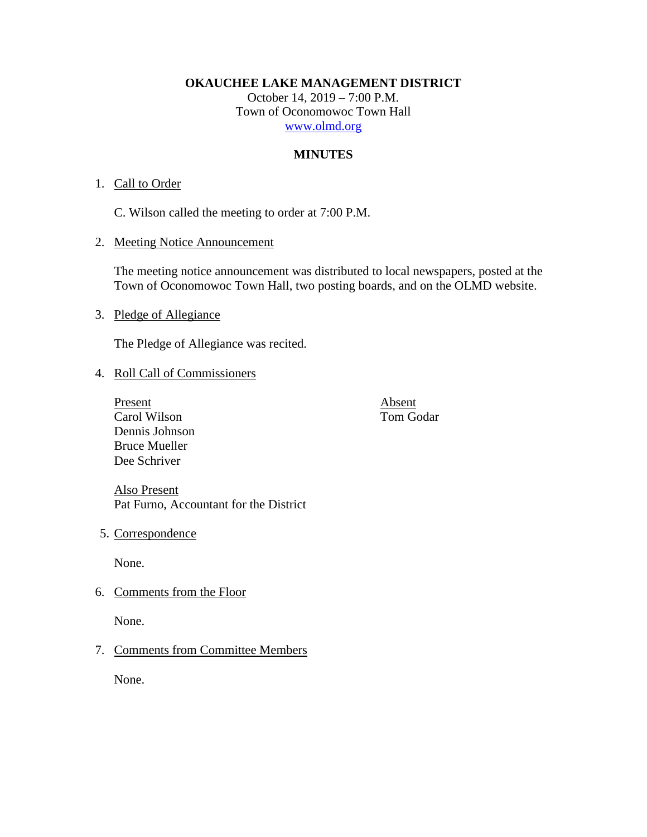**OKAUCHEE LAKE MANAGEMENT DISTRICT**

October 14, 2019 – 7:00 P.M. Town of Oconomowoc Town Hall [www.olmd.org](http://www.olmd.org/)

# **MINUTES**

## 1. Call to Order

C. Wilson called the meeting to order at 7:00 P.M.

2. Meeting Notice Announcement

The meeting notice announcement was distributed to local newspapers, posted at the Town of Oconomowoc Town Hall, two posting boards, and on the OLMD website.

3. Pledge of Allegiance

The Pledge of Allegiance was recited.

## 4. Roll Call of Commissioners

Present<br>
Carol Wilson<br>
Carol Wilson<br>
Carol Wilson<br>
Carol Wilson Carol Wilson Dennis Johnson Bruce Mueller Dee Schriver

Also Present Pat Furno, Accountant for the District

5. Correspondence

None.

6. Comments from the Floor

None.

## 7. Comments from Committee Members

None.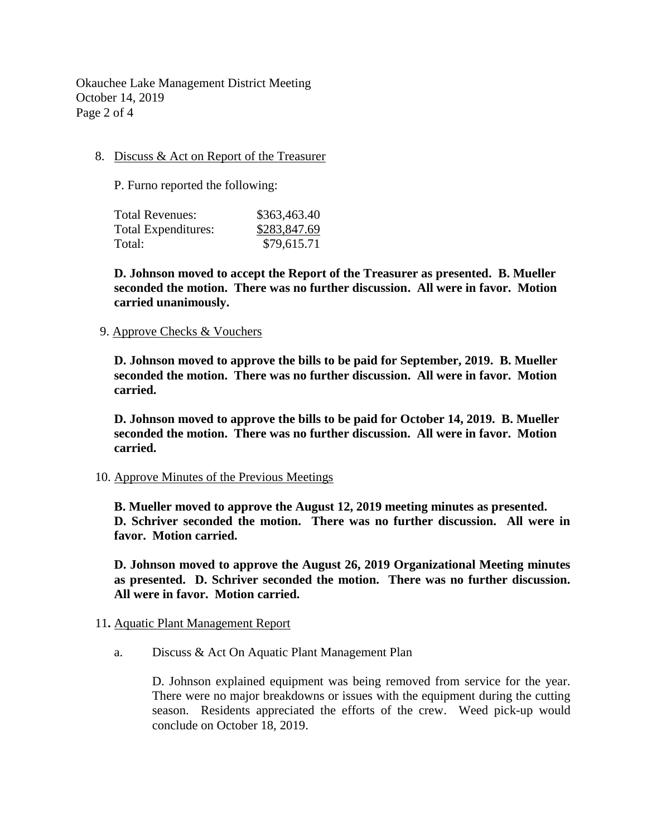Okauchee Lake Management District Meeting October 14, 2019 Page 2 of 4

## 8. Discuss & Act on Report of the Treasurer

P. Furno reported the following:

| Total Revenues:            | \$363,463.40 |
|----------------------------|--------------|
| <b>Total Expenditures:</b> | \$283,847.69 |
| Total:                     | \$79,615.71  |

**D. Johnson moved to accept the Report of the Treasurer as presented. B. Mueller seconded the motion. There was no further discussion. All were in favor. Motion carried unanimously.**

#### 9. Approve Checks & Vouchers

**D. Johnson moved to approve the bills to be paid for September, 2019. B. Mueller seconded the motion. There was no further discussion. All were in favor. Motion carried.**

**D. Johnson moved to approve the bills to be paid for October 14, 2019. B. Mueller seconded the motion. There was no further discussion. All were in favor. Motion carried.**

#### 10. Approve Minutes of the Previous Meetings

**B. Mueller moved to approve the August 12, 2019 meeting minutes as presented. D. Schriver seconded the motion. There was no further discussion. All were in favor. Motion carried.**

**D. Johnson moved to approve the August 26, 2019 Organizational Meeting minutes as presented. D. Schriver seconded the motion. There was no further discussion. All were in favor. Motion carried.**

#### 11**.** Aquatic Plant Management Report

a. Discuss & Act On Aquatic Plant Management Plan

D. Johnson explained equipment was being removed from service for the year. There were no major breakdowns or issues with the equipment during the cutting season. Residents appreciated the efforts of the crew. Weed pick-up would conclude on October 18, 2019.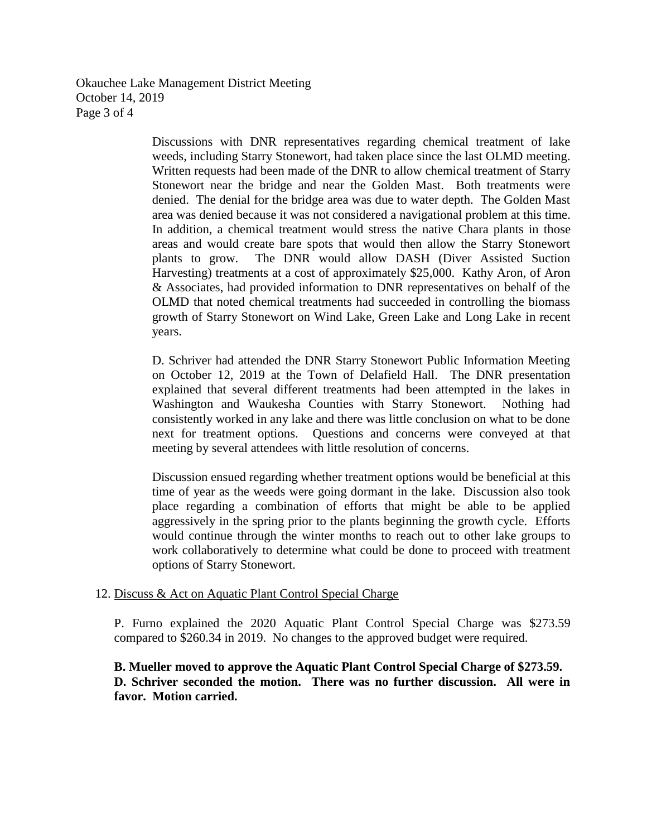Okauchee Lake Management District Meeting October 14, 2019 Page 3 of 4

> Discussions with DNR representatives regarding chemical treatment of lake weeds, including Starry Stonewort, had taken place since the last OLMD meeting. Written requests had been made of the DNR to allow chemical treatment of Starry Stonewort near the bridge and near the Golden Mast. Both treatments were denied. The denial for the bridge area was due to water depth. The Golden Mast area was denied because it was not considered a navigational problem at this time. In addition, a chemical treatment would stress the native Chara plants in those areas and would create bare spots that would then allow the Starry Stonewort plants to grow. The DNR would allow DASH (Diver Assisted Suction Harvesting) treatments at a cost of approximately \$25,000. Kathy Aron, of Aron & Associates, had provided information to DNR representatives on behalf of the OLMD that noted chemical treatments had succeeded in controlling the biomass growth of Starry Stonewort on Wind Lake, Green Lake and Long Lake in recent years.

> D. Schriver had attended the DNR Starry Stonewort Public Information Meeting on October 12, 2019 at the Town of Delafield Hall. The DNR presentation explained that several different treatments had been attempted in the lakes in Washington and Waukesha Counties with Starry Stonewort. Nothing had consistently worked in any lake and there was little conclusion on what to be done next for treatment options. Questions and concerns were conveyed at that meeting by several attendees with little resolution of concerns.

> Discussion ensued regarding whether treatment options would be beneficial at this time of year as the weeds were going dormant in the lake. Discussion also took place regarding a combination of efforts that might be able to be applied aggressively in the spring prior to the plants beginning the growth cycle. Efforts would continue through the winter months to reach out to other lake groups to work collaboratively to determine what could be done to proceed with treatment options of Starry Stonewort.

#### 12. Discuss & Act on Aquatic Plant Control Special Charge

P. Furno explained the 2020 Aquatic Plant Control Special Charge was \$273.59 compared to \$260.34 in 2019. No changes to the approved budget were required.

# **B. Mueller moved to approve the Aquatic Plant Control Special Charge of \$273.59. D. Schriver seconded the motion. There was no further discussion. All were in favor. Motion carried.**